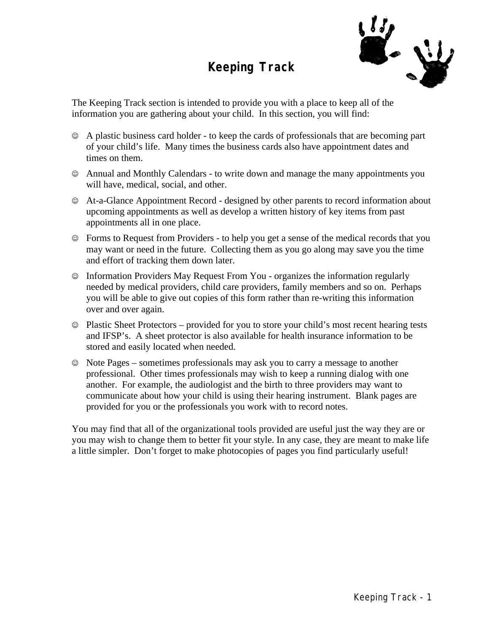### **Keeping Track**



The Keeping Track section is intended to provide you with a place to keep all of the information you are gathering about your child. In this section, you will find:

- $\odot$  A plastic business card holder to keep the cards of professionals that are becoming part of your child's life. Many times the business cards also have appointment dates and times on them.
- $\circ$  Annual and Monthly Calendars to write down and manage the many appointments you will have, medical, social, and other.
- $\odot$  At-a-Glance Appointment Record designed by other parents to record information about upcoming appointments as well as develop a written history of key items from past appointments all in one place.
- $\circledcirc$  Forms to Request from Providers to help you get a sense of the medical records that you may want or need in the future. Collecting them as you go along may save you the time and effort of tracking them down later.
- $\circledcirc$  Information Providers May Request From You organizes the information regularly needed by medical providers, child care providers, family members and so on. Perhaps you will be able to give out copies of this form rather than re-writing this information over and over again.
- $\circledcirc$  Plastic Sheet Protectors provided for you to store your child's most recent hearing tests and IFSP's. A sheet protector is also available for health insurance information to be stored and easily located when needed.
- $\odot$  Note Pages sometimes professionals may ask you to carry a message to another professional. Other times professionals may wish to keep a running dialog with one another. For example, the audiologist and the birth to three providers may want to communicate about how your child is using their hearing instrument. Blank pages are provided for you or the professionals you work with to record notes.

You may find that all of the organizational tools provided are useful just the way they are or you may wish to change them to better fit your style. In any case, they are meant to make life a little simpler. Don't forget to make photocopies of pages you find particularly useful!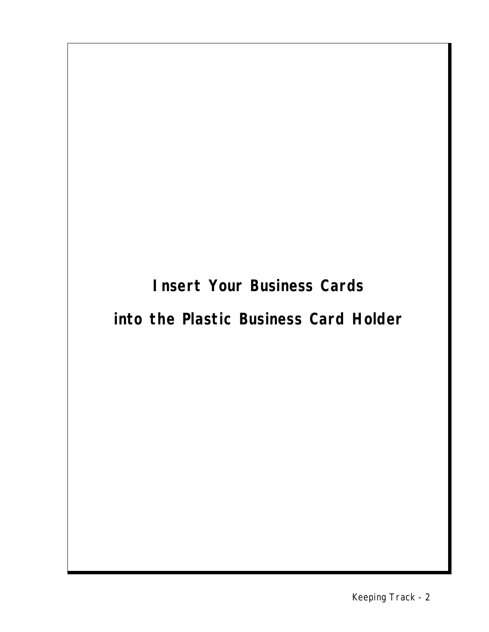**Insert Your Business Cards**

## **into the Plastic Business Card Holder**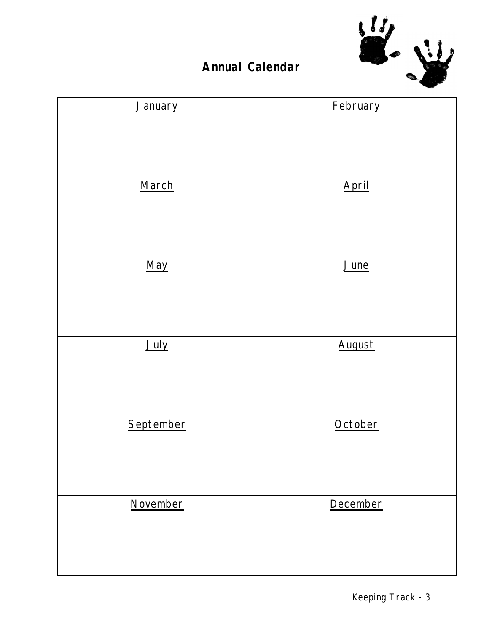

### **Annual Calendar**

| January   | February |
|-----------|----------|
|           |          |
|           |          |
|           |          |
|           |          |
| March     | April    |
|           |          |
|           |          |
|           |          |
|           |          |
| May       | June     |
|           |          |
|           |          |
|           |          |
| July      | August   |
|           |          |
|           |          |
|           |          |
|           |          |
| September | October  |
|           |          |
|           |          |
|           |          |
|           |          |
| November  | December |
|           |          |
|           |          |
|           |          |
|           |          |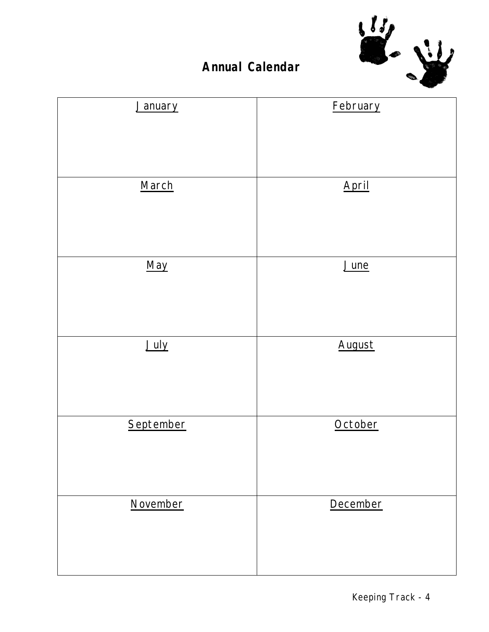

### **Annual Calendar**

| January   | February |
|-----------|----------|
|           |          |
|           |          |
|           |          |
| March     | April    |
|           |          |
|           |          |
|           |          |
| May       | June     |
|           |          |
|           |          |
| July      | August   |
|           |          |
|           |          |
|           |          |
| September | October  |
|           |          |
|           |          |
|           |          |
| November  | December |
|           |          |
|           |          |
|           |          |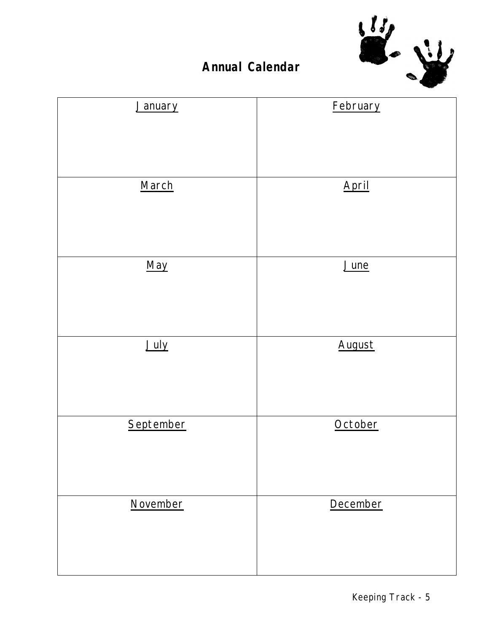

### **Annual Calendar**

| January   | February |
|-----------|----------|
|           |          |
|           |          |
|           |          |
|           |          |
| March     | April    |
|           |          |
|           |          |
|           |          |
|           |          |
| May       | June     |
|           |          |
|           |          |
|           |          |
| July      | August   |
|           |          |
|           |          |
|           |          |
|           |          |
| September | October  |
|           |          |
|           |          |
|           |          |
|           |          |
| November  | December |
|           |          |
|           |          |
|           |          |
|           |          |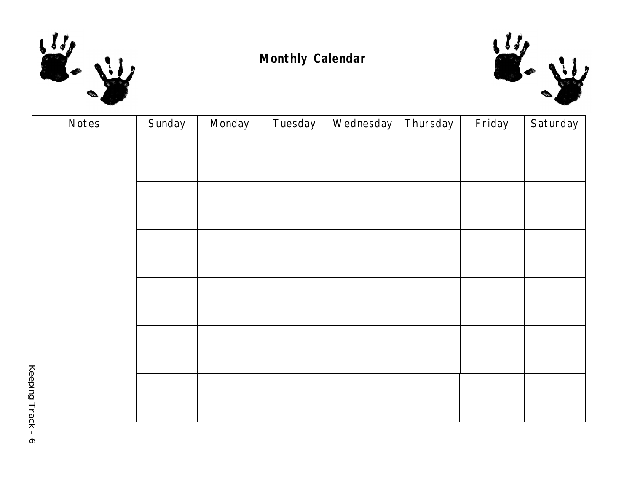

### **Monthly Calendar**



| Notes        | Sunday | Monday | Tuesday | Wednesday | Thursday | Friday | Saturday |
|--------------|--------|--------|---------|-----------|----------|--------|----------|
|              |        |        |         |           |          |        |          |
|              |        |        |         |           |          |        |          |
|              |        |        |         |           |          |        |          |
|              |        |        |         |           |          |        |          |
|              |        |        |         |           |          |        |          |
|              |        |        |         |           |          |        |          |
|              |        |        |         |           |          |        |          |
|              |        |        |         |           |          |        |          |
|              |        |        |         |           |          |        |          |
|              |        |        |         |           |          |        |          |
|              |        |        |         |           |          |        |          |
|              |        |        |         |           |          |        |          |
|              |        |        |         |           |          |        |          |
|              |        |        |         |           |          |        |          |
|              |        |        |         |           |          |        |          |
| Keeping Trac |        |        |         |           |          |        |          |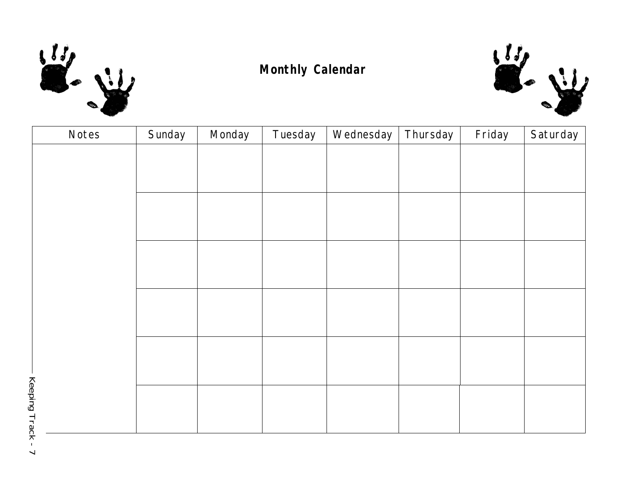

### **Monthly Calendar**



| Notes        | Sunday | Monday | Tuesday | Wednesday | Thursday | Friday | Saturday |
|--------------|--------|--------|---------|-----------|----------|--------|----------|
|              |        |        |         |           |          |        |          |
|              |        |        |         |           |          |        |          |
|              |        |        |         |           |          |        |          |
|              |        |        |         |           |          |        |          |
|              |        |        |         |           |          |        |          |
|              |        |        |         |           |          |        |          |
|              |        |        |         |           |          |        |          |
|              |        |        |         |           |          |        |          |
|              |        |        |         |           |          |        |          |
|              |        |        |         |           |          |        |          |
|              |        |        |         |           |          |        |          |
| Keepina Trac |        |        |         |           |          |        |          |
|              |        |        |         |           |          |        |          |
|              |        |        |         |           |          |        |          |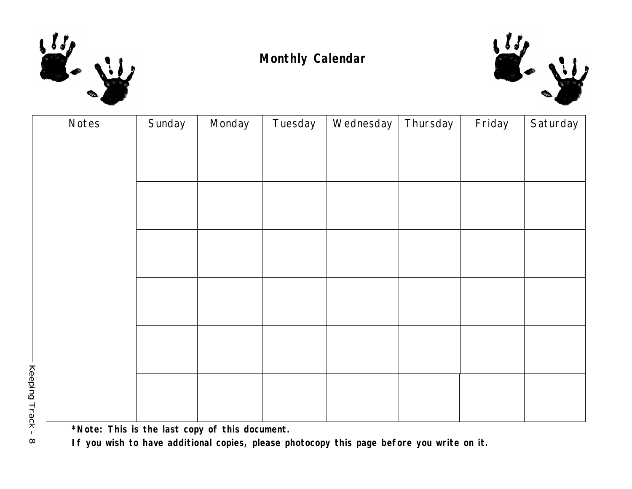

### **Monthly Calendar**



| Notes        | Sunday | Monday | Tuesday | Wednesday | Thursday | Friday | Saturday |
|--------------|--------|--------|---------|-----------|----------|--------|----------|
|              |        |        |         |           |          |        |          |
|              |        |        |         |           |          |        |          |
|              |        |        |         |           |          |        |          |
|              |        |        |         |           |          |        |          |
|              |        |        |         |           |          |        |          |
|              |        |        |         |           |          |        |          |
|              |        |        |         |           |          |        |          |
|              |        |        |         |           |          |        |          |
|              |        |        |         |           |          |        |          |
|              |        |        |         |           |          |        |          |
|              |        |        |         |           |          |        |          |
| Keening Tran |        |        |         |           |          |        |          |
|              |        |        |         |           |          |        |          |
|              |        |        |         |           |          |        |          |

**\*Note: This is the last copy of this document.**

**If you wish to have additional copies, please photocopy this page before you write on it.**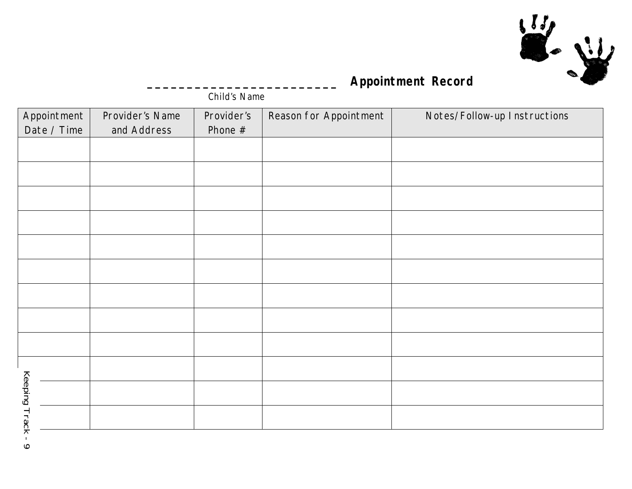

### **\_\_\_\_\_\_\_\_\_\_\_\_\_\_\_\_\_\_\_\_\_\_\_\_ Appointment Record**

*Child's Name*

| Appointment            | Provider's Name | Provider's | Reason for Appointment | Notes/Follow-up Instructions |
|------------------------|-----------------|------------|------------------------|------------------------------|
| Date / Time            | and Address     | Phone $#$  |                        |                              |
|                        |                 |            |                        |                              |
|                        |                 |            |                        |                              |
|                        |                 |            |                        |                              |
|                        |                 |            |                        |                              |
|                        |                 |            |                        |                              |
|                        |                 |            |                        |                              |
|                        |                 |            |                        |                              |
|                        |                 |            |                        |                              |
|                        |                 |            |                        |                              |
|                        |                 |            |                        |                              |
|                        |                 |            |                        |                              |
| Keeping Track          |                 |            |                        |                              |
| $\mathbf{I}$<br>$\sim$ |                 |            |                        |                              |

 $6 - x$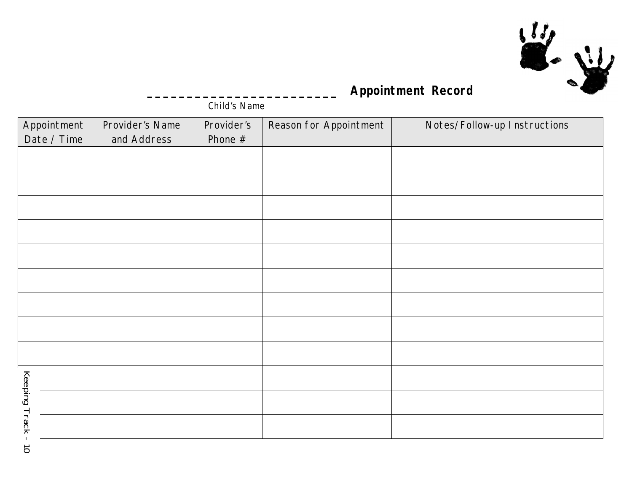

### **\_\_\_\_\_\_\_\_\_\_\_\_\_\_\_\_\_\_\_\_\_\_\_\_ Appointment Record**

*Child's Name*

| Appointment   | Provider's Name | Provider's | Reason for Appointment | Notes/Follow-up Instructions |
|---------------|-----------------|------------|------------------------|------------------------------|
| Date / Time   | and Address     | Phone $#$  |                        |                              |
|               |                 |            |                        |                              |
|               |                 |            |                        |                              |
|               |                 |            |                        |                              |
|               |                 |            |                        |                              |
|               |                 |            |                        |                              |
|               |                 |            |                        |                              |
|               |                 |            |                        |                              |
|               |                 |            |                        |                              |
|               |                 |            |                        |                              |
|               |                 |            |                        |                              |
| Keeping Track |                 |            |                        |                              |
|               |                 |            |                        |                              |
| $\vec{o}$     |                 |            |                        |                              |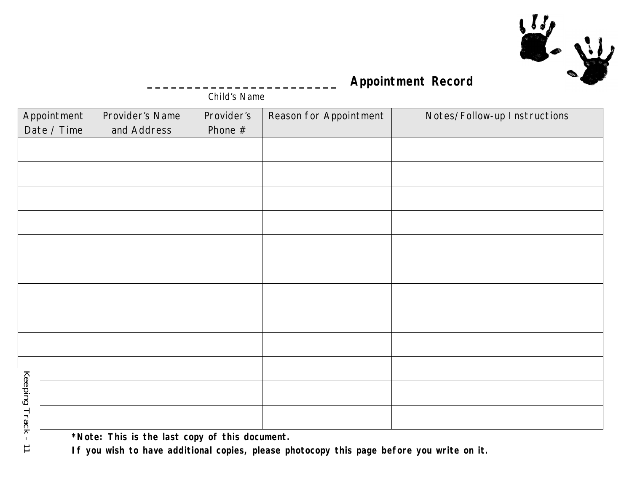

### **\_\_\_\_\_\_\_\_\_\_\_\_\_\_\_\_\_\_\_\_\_\_\_\_ Appointment Record**

*Child's Name*

| Appointment          | Provider's Name                                | Provider's | Reason for Appointment                                                                   | Notes/Follow-up Instructions |
|----------------------|------------------------------------------------|------------|------------------------------------------------------------------------------------------|------------------------------|
| Date / Time          | and Address                                    | Phone $#$  |                                                                                          |                              |
|                      |                                                |            |                                                                                          |                              |
|                      |                                                |            |                                                                                          |                              |
|                      |                                                |            |                                                                                          |                              |
|                      |                                                |            |                                                                                          |                              |
|                      |                                                |            |                                                                                          |                              |
|                      |                                                |            |                                                                                          |                              |
|                      |                                                |            |                                                                                          |                              |
|                      |                                                |            |                                                                                          |                              |
|                      |                                                |            |                                                                                          |                              |
|                      |                                                |            |                                                                                          |                              |
|                      |                                                |            |                                                                                          |                              |
| <b>Keeping Track</b> |                                                |            |                                                                                          |                              |
|                      |                                                |            |                                                                                          |                              |
|                      | *Note: This is the last copy of this document. |            | If you wish to have additional senies, please photoseny this nage before you write on it |                              |

 $\overrightarrow{=}$ 

**If you wish to have additional copies, please photocopy this page before you write on it.**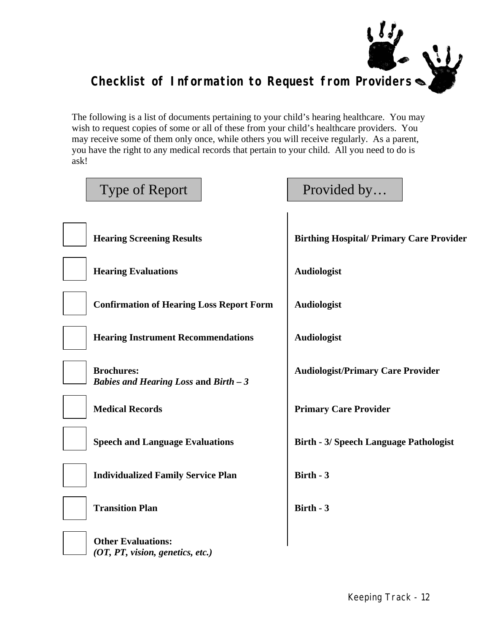

The following is a list of documents pertaining to your child's hearing healthcare. You may wish to request copies of some or all of these from your child's healthcare providers. You may receive some of them only once, while others you will receive regularly. As a parent, you have the right to any medical records that pertain to your child. All you need to do is ask!

| Type of Report                                                | Provided by                                     |
|---------------------------------------------------------------|-------------------------------------------------|
| <b>Hearing Screening Results</b>                              | <b>Birthing Hospital/ Primary Care Provider</b> |
| <b>Hearing Evaluations</b>                                    | <b>Audiologist</b>                              |
| <b>Confirmation of Hearing Loss Report Form</b>               | <b>Audiologist</b>                              |
| <b>Hearing Instrument Recommendations</b>                     | <b>Audiologist</b>                              |
| <b>Brochures:</b><br>Babies and Hearing Loss and Birth $-3$   | <b>Audiologist/Primary Care Provider</b>        |
| <b>Medical Records</b>                                        | <b>Primary Care Provider</b>                    |
| <b>Speech and Language Evaluations</b>                        | <b>Birth - 3/ Speech Language Pathologist</b>   |
| <b>Individualized Family Service Plan</b>                     | Birth - 3                                       |
| <b>Transition Plan</b>                                        | Birth - 3                                       |
| <b>Other Evaluations:</b><br>(OT, PT, vision, genetics, etc.) |                                                 |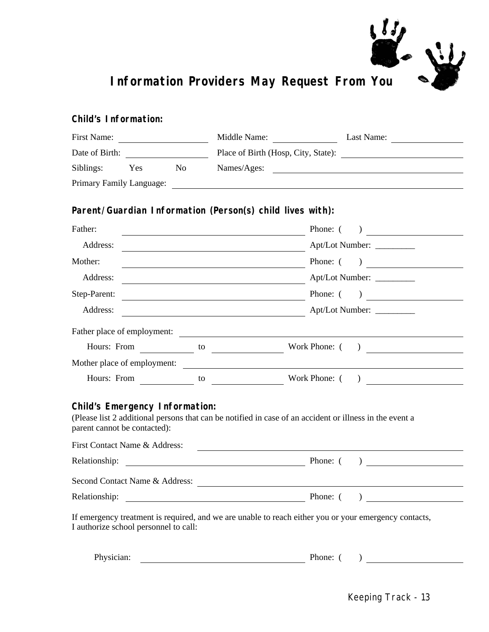

#### *Child's Information:*

| First Name:                                                           |     |    |                                                                                                                                                                                                                               | Middle Name:<br>Last Name:                                                                                                                                                                                                                                                                                                                                           |
|-----------------------------------------------------------------------|-----|----|-------------------------------------------------------------------------------------------------------------------------------------------------------------------------------------------------------------------------------|----------------------------------------------------------------------------------------------------------------------------------------------------------------------------------------------------------------------------------------------------------------------------------------------------------------------------------------------------------------------|
|                                                                       |     |    |                                                                                                                                                                                                                               |                                                                                                                                                                                                                                                                                                                                                                      |
| Siblings:                                                             | Yes | No | Names/Ages:                                                                                                                                                                                                                   | <u> 1989 - Johann Stein, fransk politik (f. 1989)</u>                                                                                                                                                                                                                                                                                                                |
| Primary Family Language:                                              |     |    |                                                                                                                                                                                                                               |                                                                                                                                                                                                                                                                                                                                                                      |
|                                                                       |     |    | Parent/Guardian Information (Person(s) child lives with):                                                                                                                                                                     |                                                                                                                                                                                                                                                                                                                                                                      |
| Father:                                                               |     |    | the control of the control of the control of the control of the control of the control of the control of the control of the control of the control of the control of the control of the control of the control of the control | Phone: (<br>) and the set of $\overline{\phantom{a}}$                                                                                                                                                                                                                                                                                                                |
| Address:                                                              |     |    |                                                                                                                                                                                                                               | Apt/Lot Number:                                                                                                                                                                                                                                                                                                                                                      |
| Mother:                                                               |     |    |                                                                                                                                                                                                                               | Phone: $($ )                                                                                                                                                                                                                                                                                                                                                         |
| Address:                                                              |     |    | <u> 1989 - Johann Barn, mars eta bainar eta industrial eta industrial eta industrial eta industrial eta industria</u>                                                                                                         | Apt/Lot Number:                                                                                                                                                                                                                                                                                                                                                      |
| Step-Parent:                                                          |     |    | <u> 1980 - Johann Barnett, fransk politik (d. 1980)</u>                                                                                                                                                                       | Phone: $($ )                                                                                                                                                                                                                                                                                                                                                         |
| Address:                                                              |     |    |                                                                                                                                                                                                                               | Apt/Lot Number:                                                                                                                                                                                                                                                                                                                                                      |
|                                                                       |     |    |                                                                                                                                                                                                                               | Father place of employment:                                                                                                                                                                                                                                                                                                                                          |
|                                                                       |     |    | Hours: From $\qquad \qquad$ to $\qquad \qquad$                                                                                                                                                                                | Work Phone: (<br>$\begin{picture}(150,10) \put(0,0){\line(1,0){10}} \put(15,0){\line(1,0){10}} \put(15,0){\line(1,0){10}} \put(15,0){\line(1,0){10}} \put(15,0){\line(1,0){10}} \put(15,0){\line(1,0){10}} \put(15,0){\line(1,0){10}} \put(15,0){\line(1,0){10}} \put(15,0){\line(1,0){10}} \put(15,0){\line(1,0){10}} \put(15,0){\line(1,0){10}} \put(15,0){\line($ |
|                                                                       |     |    | Mother place of employment:                                                                                                                                                                                                   |                                                                                                                                                                                                                                                                                                                                                                      |
|                                                                       |     |    |                                                                                                                                                                                                                               |                                                                                                                                                                                                                                                                                                                                                                      |
| <b>Child's Emergency Information:</b><br>parent cannot be contacted): |     |    |                                                                                                                                                                                                                               | (Please list 2 additional persons that can be notified in case of an accident or illness in the event a                                                                                                                                                                                                                                                              |

| First Contact Name & Address:  |          |  |
|--------------------------------|----------|--|
| Relationship:                  | Phone: ( |  |
| Second Contact Name & Address: |          |  |
| Relationship:                  | Phone: ( |  |

If emergency treatment is required, and we are unable to reach either you or your emergency contacts, I authorize school personnel to call:

| Phy<br>'sician.<br>. | בר<br>$\Lambda$ hone: |  |
|----------------------|-----------------------|--|
|                      |                       |  |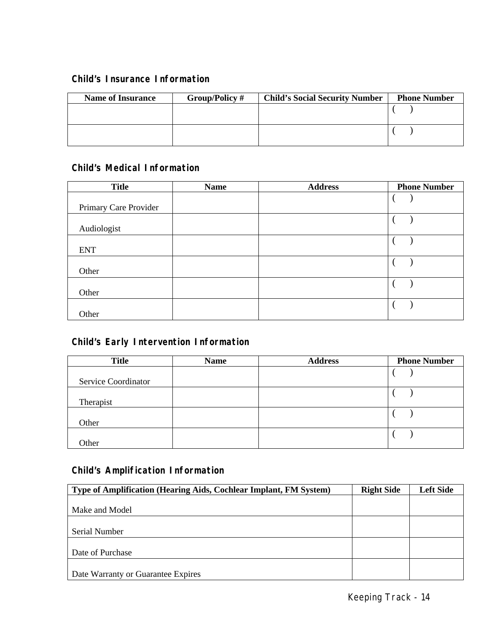#### *Child's Insurance Information*

| <b>Name of Insurance</b> | Group/Policy # | <b>Child's Social Security Number</b> | <b>Phone Number</b> |
|--------------------------|----------------|---------------------------------------|---------------------|
|                          |                |                                       |                     |
|                          |                |                                       |                     |

#### *Child's Medical Information*

| <b>Title</b>          | <b>Name</b> | <b>Address</b> | <b>Phone Number</b> |
|-----------------------|-------------|----------------|---------------------|
| Primary Care Provider |             |                |                     |
| Audiologist           |             |                |                     |
| <b>ENT</b>            |             |                |                     |
| Other                 |             |                |                     |
| Other                 |             |                |                     |
| Other                 |             |                |                     |

### *Child's Early Intervention Information*

| <b>Title</b>        | <b>Name</b> | <b>Address</b> | <b>Phone Number</b> |
|---------------------|-------------|----------------|---------------------|
| Service Coordinator |             |                |                     |
| Therapist           |             |                |                     |
| Other               |             |                |                     |
| Other               |             |                |                     |

#### *Child's Amplification Information*

| Type of Amplification (Hearing Aids, Cochlear Implant, FM System) | <b>Right Side</b> | <b>Left Side</b> |
|-------------------------------------------------------------------|-------------------|------------------|
|                                                                   |                   |                  |
| Make and Model                                                    |                   |                  |
|                                                                   |                   |                  |
| Serial Number                                                     |                   |                  |
|                                                                   |                   |                  |
| Date of Purchase                                                  |                   |                  |
|                                                                   |                   |                  |
| Date Warranty or Guarantee Expires                                |                   |                  |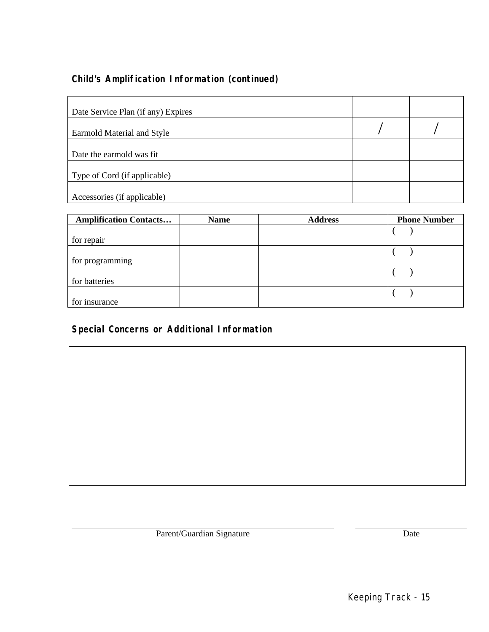### *Child's Amplification Information (continued)*

| Date Service Plan (if any) Expires |  |
|------------------------------------|--|
| Earmold Material and Style         |  |
| Date the earmold was fit.          |  |
| Type of Cord (if applicable)       |  |
| Accessories (if applicable)        |  |

| <b>Amplification Contacts</b> | <b>Name</b> | <b>Address</b> | <b>Phone Number</b> |
|-------------------------------|-------------|----------------|---------------------|
|                               |             |                |                     |
| for repair                    |             |                |                     |
|                               |             |                |                     |
| for programming               |             |                |                     |
|                               |             |                |                     |
| for batteries                 |             |                |                     |
|                               |             |                |                     |
| for insurance                 |             |                |                     |

### *Special Concerns or Additional Information*

Parent/Guardian Signature Date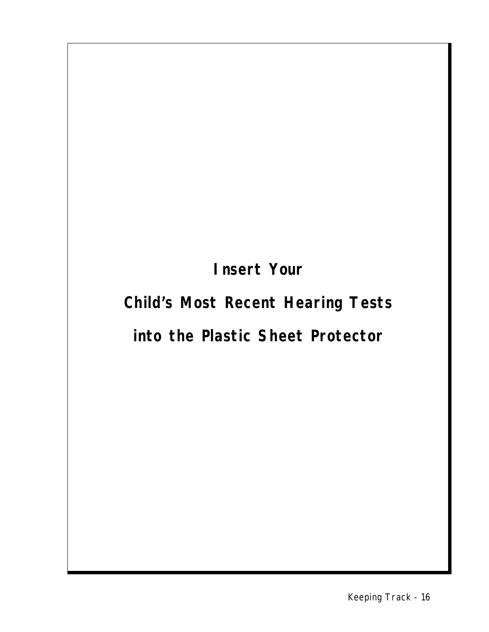**Insert Your**

# **Child's Most Recent Hearing Tests**

## **into the Plastic Sheet Protector**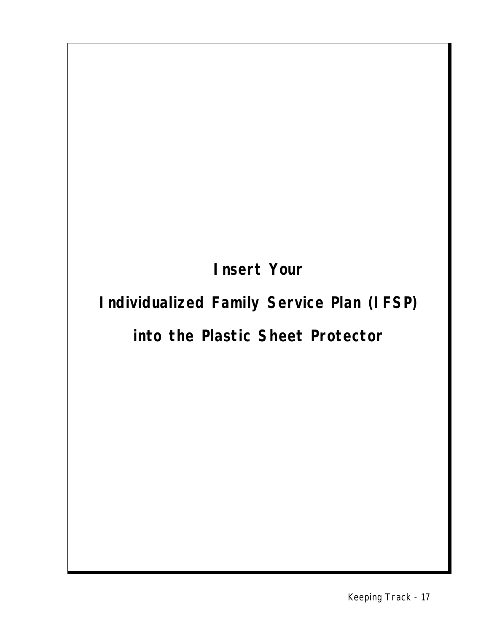**Insert Your**

# **Individualized Family Service Plan (IFSP)**

## **into the Plastic Sheet Protector**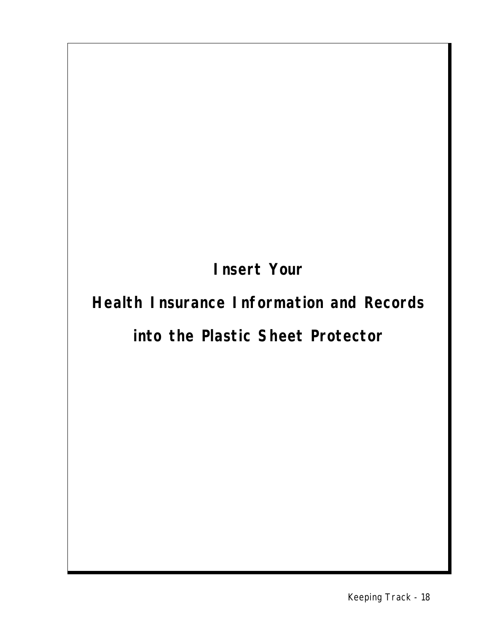**Insert Your**

# **Health Insurance Information and Records**

## **into the Plastic Sheet Protector**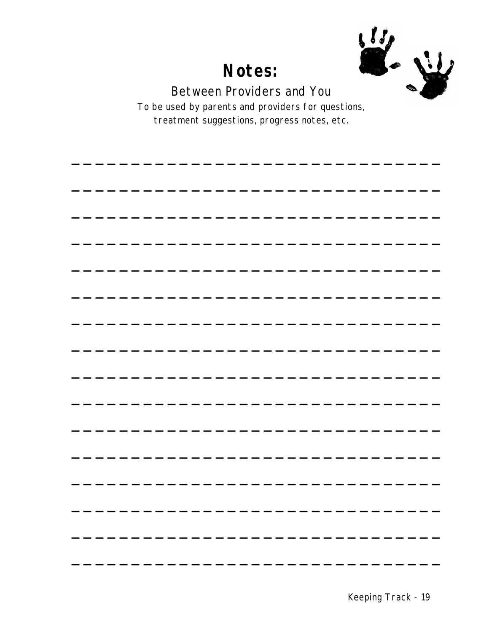

Between Providers and You

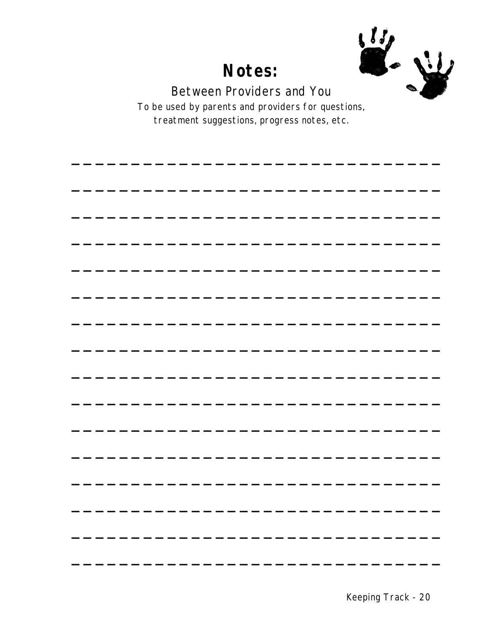

Between Providers and You

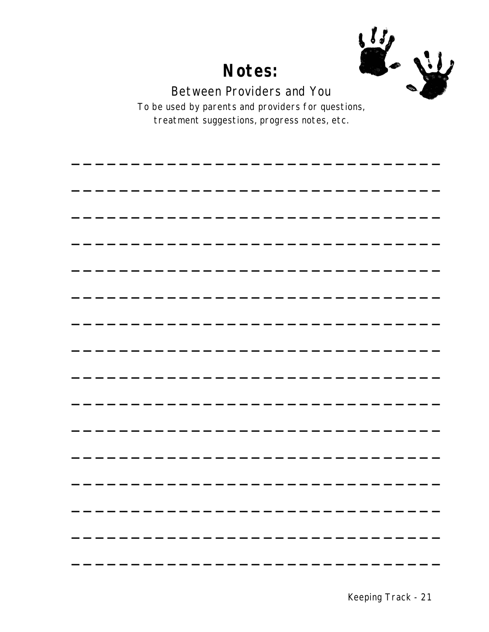

Between Providers and You

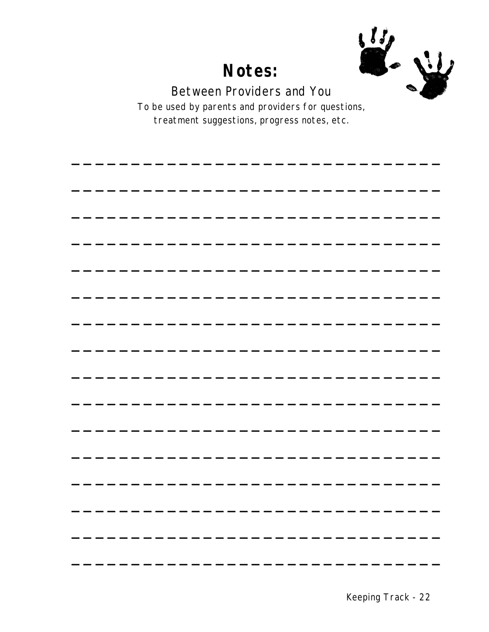

Between Providers and You

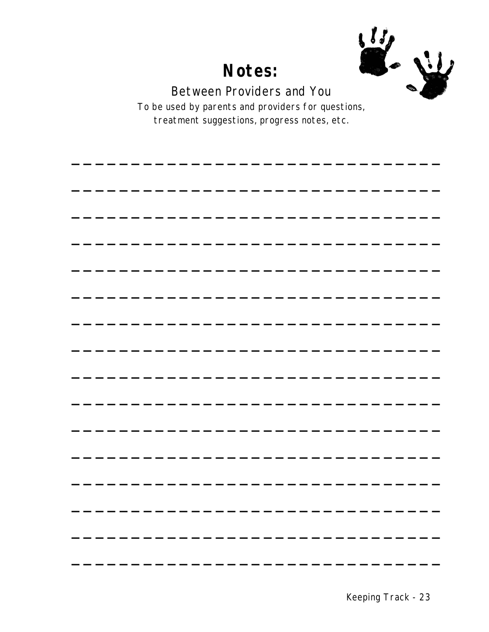

Between Providers and You